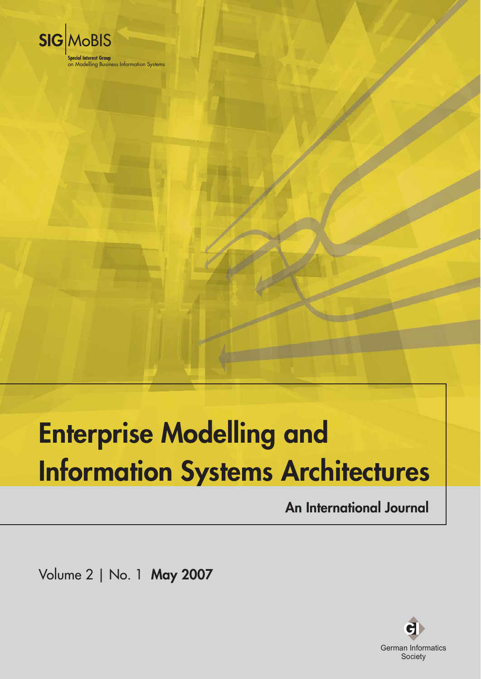

# **Enterprise Modelling and Information Systems Architectures**

**An International Journal** 

Volume 2 | No. 1 May 2007

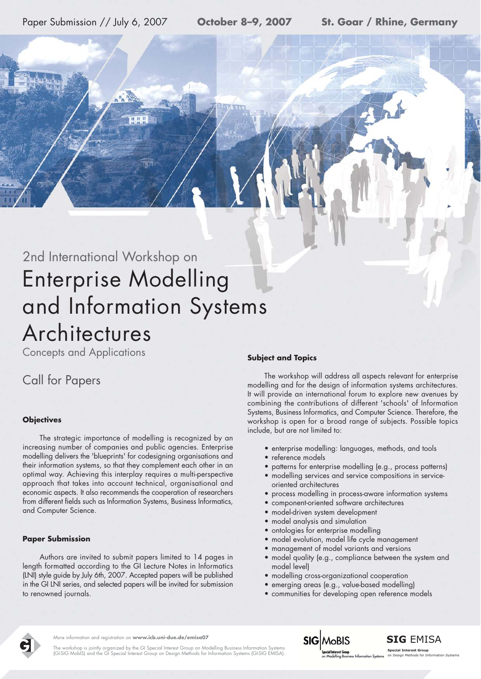Paper Submission // July 6, 2007

## 2nd International Workshop on **Enterprise Modelling** and Information Systems Architectures

**Concepts and Applications** 

### **Call for Papers**

#### **Objectives**

The strategic importance of modelling is recognized by an increasing number of companies and public agencies. Enterprise modelling delivers the 'blueprints' for codesigning organisations and their information systems, so that they complement each other in an optimal way. Achieving this interplay requires a multi-perspective approach that takes into account technical, organisational and economic aspects. It also recommends the cooperation of researchers from different fields such as Information Systems, Business Informatics, and Computer Science.

#### **Paper Submission**

Authors are invited to submit papers limited to 14 pages in length formatted according to the GI Lecture Notes in Informatics (LNI) style guide by July 6th, 2007. Accepted papers will be published in the GI LNI series, and selected papers will be invited for submission to renowned journals.

#### **Subject and Topics**

The workshop will address all aspects relevant for enterprise modelling and for the design of information systems architectures. It will provide an international forum to explore new avenues by combining the contributions of different 'schools' of Information Systems, Business Informatics, and Computer Science. Therefore, the workshop is open for a broad range of subjects. Possible topics include, but are not limited to:

- · enterprise modelling: languages, methods, and tools
- · reference models
- patterns for enterprise modelling (e.g., process patterns)
- modelling services and service compositions in serviceoriented architectures
- process modelling in process-aware information systems
- component-oriented software architectures
- model-driven system development
- model analysis and simulation  $\bullet$
- ontologies for enterprise modelling  $\bullet$
- model evolution, model life cycle management  $\bullet$
- management of model variants and versions  $\bullet$
- model quality (e.g., compliance between the system and model level)
- modelling cross-organizational cooperation  $\bullet$
- emerging areas (e.g., value-based modelling)  $\bullet$
- · communities for developing open reference models



More information and reaistration on www.icb.uni-due.de/emisa07

The workshop is jointly organized by the GI Special Interest Group on Modelling Business Information Systems<br>(GI-SIG MobIS) and the GI Special Interest Group on Design Methods for Information Systems (GI-SIG EMISA)



**Special Interest Group**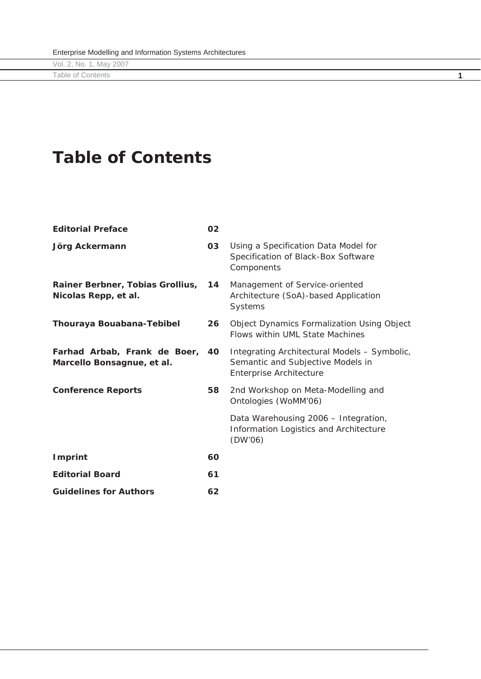**Table of Contents** 

| <b>Editorial Preface</b>                                      | 02 |                                                                                                              |
|---------------------------------------------------------------|----|--------------------------------------------------------------------------------------------------------------|
| Jörg Ackermann                                                | 03 | Using a Specification Data Model for<br>Specification of Black-Box Software<br>Components                    |
| Rainer Berbner, Tobias Grollius,<br>Nicolas Repp, et al.      | 14 | Management of Service-oriented<br>Architecture (SoA)-based Application<br>Systems                            |
| Thouraya Bouabana-Tebibel                                     | 26 | <b>Object Dynamics Formalization Using Object</b><br><b>Flows within UML State Machines</b>                  |
| Farhad Arbab, Frank de Boer, 40<br>Marcello Bonsagnue, et al. |    | Integrating Architectural Models - Symbolic,<br>Semantic and Subjective Models in<br>Enterprise Architecture |
| <b>Conference Reports</b>                                     | 58 | 2nd Workshop on Meta-Modelling and<br>Ontologies (WoMM'06)                                                   |
|                                                               |    | Data Warehousing 2006 - Integration,<br>Information Logistics and Architecture<br>(DW'06)                    |
| <b>Imprint</b>                                                | 60 |                                                                                                              |
| <b>Editorial Board</b>                                        | 61 |                                                                                                              |
| <b>Guidelines for Authors</b>                                 | 62 |                                                                                                              |